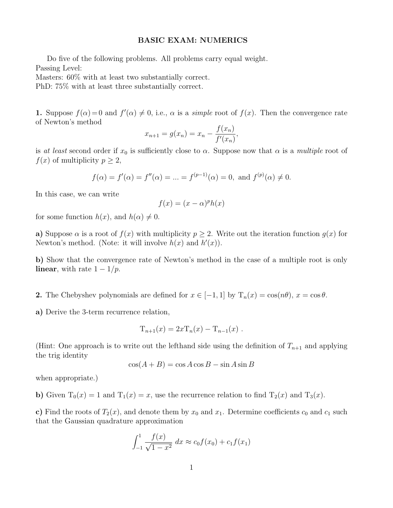## BASIC EXAM: NUMERICS

Do five of the following problems. All problems carry equal weight.

Passing Level:

Masters: 60% with at least two substantially correct.

PhD: 75% with at least three substantially correct.

**1.** Suppose  $f(\alpha) = 0$  and  $f'(\alpha) \neq 0$ , i.e.,  $\alpha$  is a *simple* root of  $f(x)$ . Then the convergence rate of Newton's method

$$
x_{n+1} = g(x_n) = x_n - \frac{f(x_n)}{f'(x_n)},
$$

is at least second order if  $x_0$  is sufficiently close to  $\alpha$ . Suppose now that  $\alpha$  is a multiple root of  $f(x)$  of multiplicity  $p \geq 2$ ,

$$
f(\alpha) = f'(\alpha) = f''(\alpha) = \dots = f^{(p-1)}(\alpha) = 0
$$
, and  $f^{(p)}(\alpha) \neq 0$ .

In this case, we can write

$$
f(x) = (x - \alpha)^p h(x)
$$

for some function  $h(x)$ , and  $h(\alpha) \neq 0$ .

a) Suppose  $\alpha$  is a root of  $f(x)$  with multiplicity  $p \geq 2$ . Write out the iteration function  $g(x)$  for Newton's method. (Note: it will involve  $h(x)$  and  $h'(x)$ ).

b) Show that the convergence rate of Newton's method in the case of a multiple root is only linear, with rate  $1 - 1/p$ .

- 2. The Chebyshev polynomials are defined for  $x \in [-1,1]$  by  $T_n(x) = \cos(n\theta), x = \cos \theta$ .
- a) Derive the 3-term recurrence relation,

$$
T_{n+1}(x) = 2xT_n(x) - T_{n-1}(x) .
$$

(Hint: One approach is to write out the lefthand side using the definition of  $T_{n+1}$  and applying the trig identity

$$
\cos(A+B) = \cos A \cos B - \sin A \sin B
$$

when appropriate.)

b) Given  $T_0(x) = 1$  and  $T_1(x) = x$ , use the recurrence relation to find  $T_2(x)$  and  $T_3(x)$ .

c) Find the roots of  $T_2(x)$ , and denote them by  $x_0$  and  $x_1$ . Determine coefficients  $c_0$  and  $c_1$  such that the Gaussian quadrature approximation

$$
\int_{-1}^{1} \frac{f(x)}{\sqrt{1 - x^2}} dx \approx c_0 f(x_0) + c_1 f(x_1)
$$